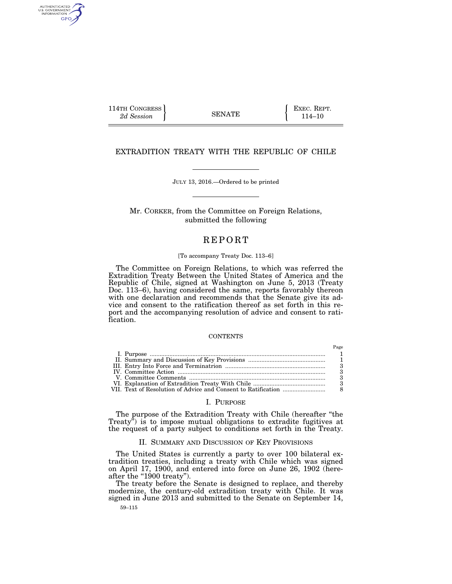114TH CONGRESS **EXEC. REPT.** 2d Session **EXEC. EXEC. 2d** SENATE **114**-10

AUTHENTICATED<br>U.S. GOVERNMENT<br>INFORMATION GPO

# EXTRADITION TREATY WITH THE REPUBLIC OF CHILE

JULY 13, 2016.—Ordered to be printed

Mr. CORKER, from the Committee on Foreign Relations, submitted the following

# **REPORT**

### [To accompany Treaty Doc. 113–6]

The Committee on Foreign Relations, to which was referred the Extradition Treaty Between the United States of America and the Republic of Chile, signed at Washington on June 5, 2013 (Treaty Doc. 113–6), having considered the same, reports favorably thereon with one declaration and recommends that the Senate give its advice and consent to the ratification thereof as set forth in this report and the accompanying resolution of advice and consent to ratification.

#### **CONTENTS**

# I. PURPOSE

The purpose of the Extradition Treaty with Chile (hereafter "the Treaty<sup>"</sup>) is to impose mutual obligations to extradite fugitives at the request of a party subject to conditions set forth in the Treaty.

# II. SUMMARY AND DISCUSSION OF KEY PROVISIONS

The United States is currently a party to over 100 bilateral extradition treaties, including a treaty with Chile which was signed on April 17, 1900, and entered into force on June 26, 1902 (hereafter the "1900 treaty").

The treaty before the Senate is designed to replace, and thereby modernize, the century-old extradition treaty with Chile. It was signed in June 2013 and submitted to the Senate on September 14,

59–115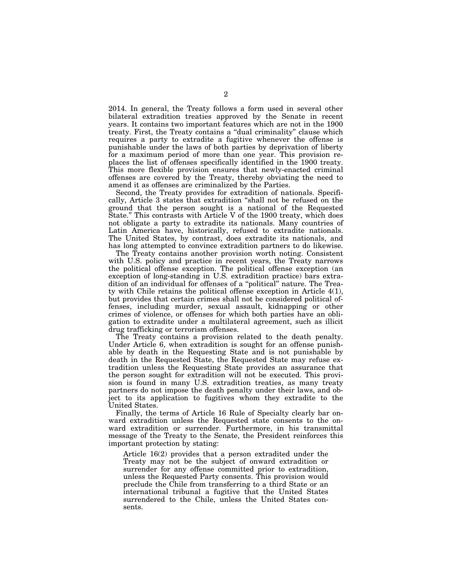2014. In general, the Treaty follows a form used in several other bilateral extradition treaties approved by the Senate in recent years. It contains two important features which are not in the 1900 treaty. First, the Treaty contains a ''dual criminality'' clause which requires a party to extradite a fugitive whenever the offense is punishable under the laws of both parties by deprivation of liberty for a maximum period of more than one year. This provision replaces the list of offenses specifically identified in the 1900 treaty. This more flexible provision ensures that newly-enacted criminal offenses are covered by the Treaty, thereby obviating the need to amend it as offenses are criminalized by the Parties.

Second, the Treaty provides for extradition of nationals. Specifically, Article 3 states that extradition ''shall not be refused on the ground that the person sought is a national of the Requested State.'' This contrasts with Article V of the 1900 treaty, which does not obligate a party to extradite its nationals. Many countries of Latin America have, historically, refused to extradite nationals. The United States, by contrast, does extradite its nationals, and has long attempted to convince extradition partners to do likewise.

The Treaty contains another provision worth noting. Consistent with U.S. policy and practice in recent years, the Treaty narrows the political offense exception. The political offense exception (an exception of long-standing in U.S. extradition practice) bars extradition of an individual for offenses of a ''political'' nature. The Treaty with Chile retains the political offense exception in Article 4(1), but provides that certain crimes shall not be considered political offenses, including murder, sexual assault, kidnapping or other crimes of violence, or offenses for which both parties have an obligation to extradite under a multilateral agreement, such as illicit drug trafficking or terrorism offenses.

The Treaty contains a provision related to the death penalty. Under Article 6, when extradition is sought for an offense punishable by death in the Requesting State and is not punishable by death in the Requested State, the Requested State may refuse extradition unless the Requesting State provides an assurance that the person sought for extradition will not be executed. This provision is found in many U.S. extradition treaties, as many treaty partners do not impose the death penalty under their laws, and object to its application to fugitives whom they extradite to the United States.

Finally, the terms of Article 16 Rule of Specialty clearly bar onward extradition unless the Requested state consents to the onward extradition or surrender. Furthermore, in his transmittal message of the Treaty to the Senate, the President reinforces this important protection by stating:

Article 16(2) provides that a person extradited under the Treaty may not be the subject of onward extradition or surrender for any offense committed prior to extradition, unless the Requested Party consents. This provision would preclude the Chile from transferring to a third State or an international tribunal a fugitive that the United States surrendered to the Chile, unless the United States consents.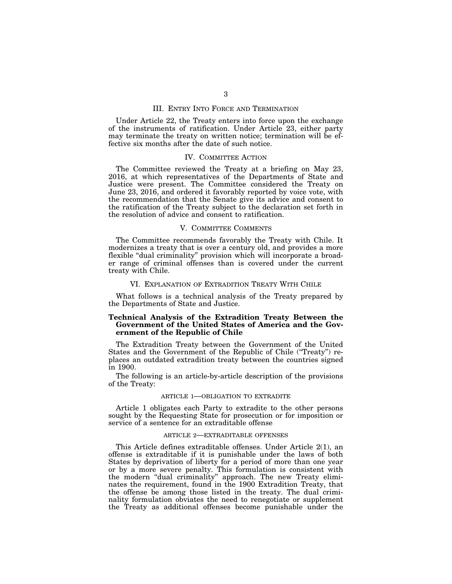# III. ENTRY INTO FORCE AND TERMINATION

Under Article 22, the Treaty enters into force upon the exchange of the instruments of ratification. Under Article 23, either party may terminate the treaty on written notice; termination will be effective six months after the date of such notice.

# IV. COMMITTEE ACTION

The Committee reviewed the Treaty at a briefing on May 23, 2016, at which representatives of the Departments of State and Justice were present. The Committee considered the Treaty on June 23, 2016, and ordered it favorably reported by voice vote, with the recommendation that the Senate give its advice and consent to the ratification of the Treaty subject to the declaration set forth in the resolution of advice and consent to ratification.

# V. COMMITTEE COMMENTS

The Committee recommends favorably the Treaty with Chile. It modernizes a treaty that is over a century old, and provides a more flexible "dual criminality" provision which will incorporate a broader range of criminal offenses than is covered under the current treaty with Chile.

### VI. EXPLANATION OF EXTRADITION TREATY WITH CHILE

What follows is a technical analysis of the Treaty prepared by the Departments of State and Justice.

# **Technical Analysis of the Extradition Treaty Between the Government of the United States of America and the Government of the Republic of Chile**

The Extradition Treaty between the Government of the United States and the Government of the Republic of Chile (''Treaty'') replaces an outdated extradition treaty between the countries signed in 1900.

The following is an article-by-article description of the provisions of the Treaty:

# ARTICLE 1—OBLIGATION TO EXTRADITE

Article 1 obligates each Party to extradite to the other persons sought by the Requesting State for prosecution or for imposition or service of a sentence for an extraditable offense

#### ARTICLE 2—EXTRADITABLE OFFENSES

This Article defines extraditable offenses. Under Article 2(1), an offense is extraditable if it is punishable under the laws of both States by deprivation of liberty for a period of more than one year or by a more severe penalty. This formulation is consistent with the modern ''dual criminality'' approach. The new Treaty eliminates the requirement, found in the 1900 Extradition Treaty, that the offense be among those listed in the treaty. The dual criminality formulation obviates the need to renegotiate or supplement the Treaty as additional offenses become punishable under the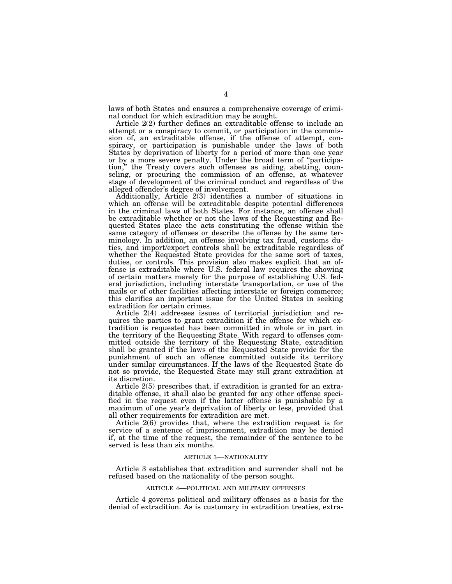laws of both States and ensures a comprehensive coverage of criminal conduct for which extradition may be sought.

Article 2(2) further defines an extraditable offense to include an attempt or a conspiracy to commit, or participation in the commission of, an extraditable offense, if the offense of attempt, conspiracy, or participation is punishable under the laws of both States by deprivation of liberty for a period of more than one year or by a more severe penalty. Under the broad term of ''participation,'' the Treaty covers such offenses as aiding, abetting, counseling, or procuring the commission of an offense, at whatever stage of development of the criminal conduct and regardless of the alleged offender's degree of involvement.

Additionally, Article 2(3) identifies a number of situations in which an offense will be extraditable despite potential differences in the criminal laws of both States. For instance, an offense shall be extraditable whether or not the laws of the Requesting and Requested States place the acts constituting the offense within the same category of offenses or describe the offense by the same terminology. In addition, an offense involving tax fraud, customs duties, and import/export controls shall be extraditable regardless of whether the Requested State provides for the same sort of taxes, duties, or controls. This provision also makes explicit that an offense is extraditable where U.S. federal law requires the showing of certain matters merely for the purpose of establishing U.S. federal jurisdiction, including interstate transportation, or use of the mails or of other facilities affecting interstate or foreign commerce; this clarifies an important issue for the United States in seeking extradition for certain crimes.

Article 2(4) addresses issues of territorial jurisdiction and requires the parties to grant extradition if the offense for which extradition is requested has been committed in whole or in part in the territory of the Requesting State. With regard to offenses committed outside the territory of the Requesting State, extradition shall be granted if the laws of the Requested State provide for the punishment of such an offense committed outside its territory under similar circumstances. If the laws of the Requested State do not so provide, the Requested State may still grant extradition at its discretion.

Article 2(5) prescribes that, if extradition is granted for an extraditable offense, it shall also be granted for any other offense specified in the request even if the latter offense is punishable by a maximum of one year's deprivation of liberty or less, provided that all other requirements for extradition are met.

Article 2(6) provides that, where the extradition request is for service of a sentence of imprisonment, extradition may be denied if, at the time of the request, the remainder of the sentence to be served is less than six months.

# ARTICLE 3—NATIONALITY

Article 3 establishes that extradition and surrender shall not be refused based on the nationality of the person sought.

#### ARTICLE 4—POLITICAL AND MILITARY OFFENSES

Article 4 governs political and military offenses as a basis for the denial of extradition. As is customary in extradition treaties, extra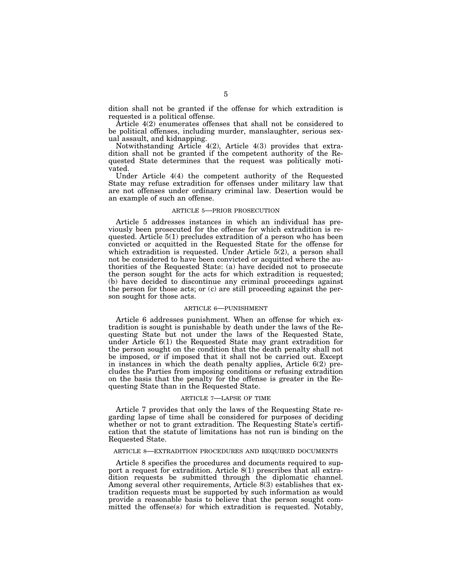dition shall not be granted if the offense for which extradition is requested is a political offense.

Article 4(2) enumerates offenses that shall not be considered to be political offenses, including murder, manslaughter, serious sexual assault, and kidnapping.

Notwithstanding Article 4(2), Article 4(3) provides that extradition shall not be granted if the competent authority of the Requested State determines that the request was politically motivated.

Under Article 4(4) the competent authority of the Requested State may refuse extradition for offenses under military law that are not offenses under ordinary criminal law. Desertion would be an example of such an offense.

#### ARTICLE 5—PRIOR PROSECUTION

Article 5 addresses instances in which an individual has previously been prosecuted for the offense for which extradition is requested. Article 5(1) precludes extradition of a person who has been convicted or acquitted in the Requested State for the offense for which extradition is requested. Under Article 5(2), a person shall not be considered to have been convicted or acquitted where the authorities of the Requested State: (a) have decided not to prosecute the person sought for the acts for which extradition is requested; (b) have decided to discontinue any criminal proceedings against the person for those acts; or (c) are still proceeding against the person sought for those acts.

### ARTICLE 6—PUNISHMENT

Article 6 addresses punishment. When an offense for which extradition is sought is punishable by death under the laws of the Requesting State but not under the laws of the Requested State, under Article 6(1) the Requested State may grant extradition for the person sought on the condition that the death penalty shall not be imposed, or if imposed that it shall not be carried out. Except in instances in which the death penalty applies, Article 6(2) precludes the Parties from imposing conditions or refusing extradition on the basis that the penalty for the offense is greater in the Requesting State than in the Requested State.

#### ARTICLE 7—LAPSE OF TIME

Article 7 provides that only the laws of the Requesting State regarding lapse of time shall be considered for purposes of deciding whether or not to grant extradition. The Requesting State's certification that the statute of limitations has not run is binding on the Requested State.

#### ARTICLE 8—EXTRADITION PROCEDURES AND REQUIRED DOCUMENTS

Article 8 specifies the procedures and documents required to support a request for extradition. Article 8(1) prescribes that all extradition requests be submitted through the diplomatic channel. Among several other requirements, Article 8(3) establishes that extradition requests must be supported by such information as would provide a reasonable basis to believe that the person sought committed the offense(s) for which extradition is requested. Notably,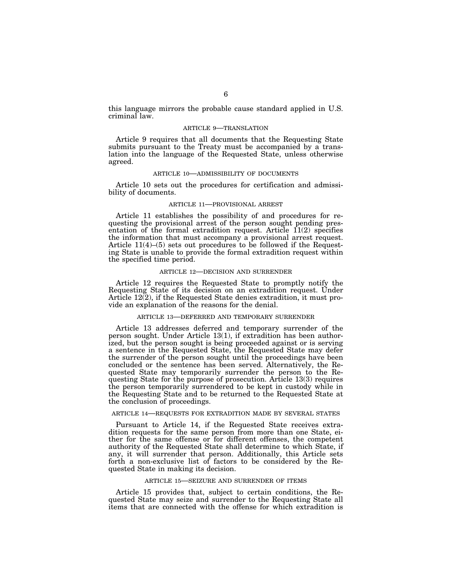this language mirrors the probable cause standard applied in U.S. criminal law.

#### ARTICLE 9—TRANSLATION

Article 9 requires that all documents that the Requesting State submits pursuant to the Treaty must be accompanied by a translation into the language of the Requested State, unless otherwise agreed.

#### ARTICLE 10—ADMISSIBILITY OF DOCUMENTS

Article 10 sets out the procedures for certification and admissibility of documents.

#### ARTICLE 11—PROVISIONAL ARREST

Article 11 establishes the possibility of and procedures for requesting the provisional arrest of the person sought pending presentation of the formal extradition request. Article  $11(2)$  specifies the information that must accompany a provisional arrest request. Article 11(4)–(5) sets out procedures to be followed if the Requesting State is unable to provide the formal extradition request within the specified time period.

# ARTICLE 12—DECISION AND SURRENDER

Article 12 requires the Requested State to promptly notify the Requesting State of its decision on an extradition request. Under Article 12(2), if the Requested State denies extradition, it must provide an explanation of the reasons for the denial.

#### ARTICLE 13—DEFERRED AND TEMPORARY SURRENDER

Article 13 addresses deferred and temporary surrender of the person sought. Under Article 13(1), if extradition has been authorized, but the person sought is being proceeded against or is serving a sentence in the Requested State, the Requested State may defer the surrender of the person sought until the proceedings have been concluded or the sentence has been served. Alternatively, the Requested State may temporarily surrender the person to the Requesting State for the purpose of prosecution. Article 13(3) requires the person temporarily surrendered to be kept in custody while in the Requesting State and to be returned to the Requested State at the conclusion of proceedings.

# ARTICLE 14—REQUESTS FOR EXTRADITION MADE BY SEVERAL STATES

Pursuant to Article 14, if the Requested State receives extradition requests for the same person from more than one State, either for the same offense or for different offenses, the competent authority of the Requested State shall determine to which State, if any, it will surrender that person. Additionally, this Article sets forth a non-exclusive list of factors to be considered by the Requested State in making its decision.

### ARTICLE 15—SEIZURE AND SURRENDER OF ITEMS

Article 15 provides that, subject to certain conditions, the Requested State may seize and surrender to the Requesting State all items that are connected with the offense for which extradition is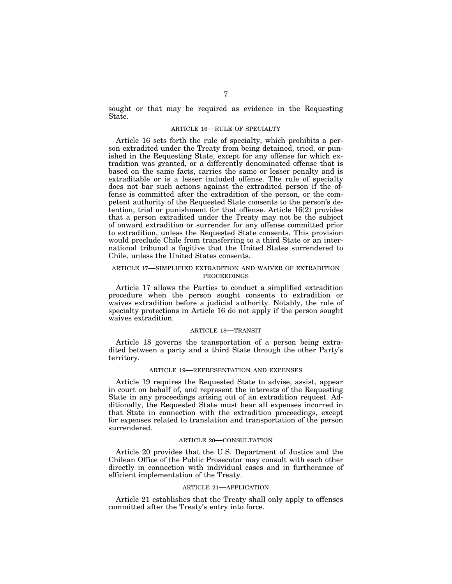sought or that may be required as evidence in the Requesting State.

### ARTICLE 16—RULE OF SPECIALTY

Article 16 sets forth the rule of specialty, which prohibits a person extradited under the Treaty from being detained, tried, or punished in the Requesting State, except for any offense for which extradition was granted, or a differently denominated offense that is based on the same facts, carries the same or lesser penalty and is extraditable or is a lesser included offense. The rule of specialty does not bar such actions against the extradited person if the offense is committed after the extradition of the person, or the competent authority of the Requested State consents to the person's detention, trial or punishment for that offense. Article 16(2) provides that a person extradited under the Treaty may not be the subject of onward extradition or surrender for any offense committed prior to extradition, unless the Requested State consents. This provision would preclude Chile from transferring to a third State or an international tribunal a fugitive that the United States surrendered to Chile, unless the United States consents.

# ARTICLE 17—SIMPLIFIED EXTRADITION AND WAIVER OF EXTRADITION PROCEEDINGS

Article 17 allows the Parties to conduct a simplified extradition procedure when the person sought consents to extradition or waives extradition before a judicial authority. Notably, the rule of specialty protections in Article 16 do not apply if the person sought waives extradition.

#### ARTICLE 18—TRANSIT

Article 18 governs the transportation of a person being extradited between a party and a third State through the other Party's territory.

# ARTICLE 19—REPRESENTATION AND EXPENSES

Article 19 requires the Requested State to advise, assist, appear in court on behalf of, and represent the interests of the Requesting State in any proceedings arising out of an extradition request. Additionally, the Requested State must bear all expenses incurred in that State in connection with the extradition proceedings, except for expenses related to translation and transportation of the person surrendered.

#### ARTICLE 20—CONSULTATION

Article 20 provides that the U.S. Department of Justice and the Chilean Office of the Public Prosecutor may consult with each other directly in connection with individual cases and in furtherance of efficient implementation of the Treaty.

#### ARTICLE 21—APPLICATION

Article 21 establishes that the Treaty shall only apply to offenses committed after the Treaty's entry into force.